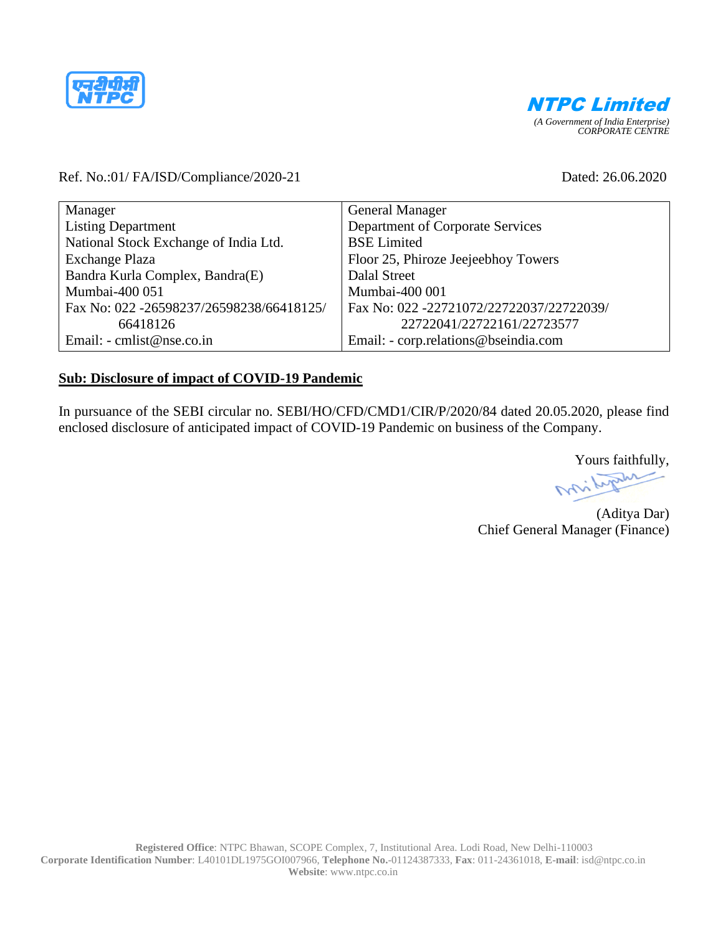



## Ref. No.:01/ FA/ISD/Compliance/2020-21 Dated: 26.06.2020

| Manager                                  | <b>General Manager</b>                   |
|------------------------------------------|------------------------------------------|
| <b>Listing Department</b>                | Department of Corporate Services         |
| National Stock Exchange of India Ltd.    | <b>BSE</b> Limited                       |
| Exchange Plaza                           | Floor 25, Phiroze Jeejeebhoy Towers      |
| Bandra Kurla Complex, Bandra(E)          | Dalal Street                             |
| Mumbai-400 051                           | Mumbai-400 001                           |
| Fax No: 022 -26598237/26598238/66418125/ | Fax No: 022 -22721072/22722037/22722039/ |
| 66418126                                 | 22722041/22722161/22723577               |
| Email: - cmlist@nse.co.in                | Email: - corp.relations@bseindia.com     |

## **Sub: Disclosure of impact of COVID-19 Pandemic**

In pursuance of the SEBI circular no. SEBI/HO/CFD/CMD1/CIR/P/2020/84 dated 20.05.2020, please find enclosed disclosure of anticipated impact of COVID-19 Pandemic on business of the Company.

Yours faithfully,

(Aditya Dar) Chief General Manager (Finance)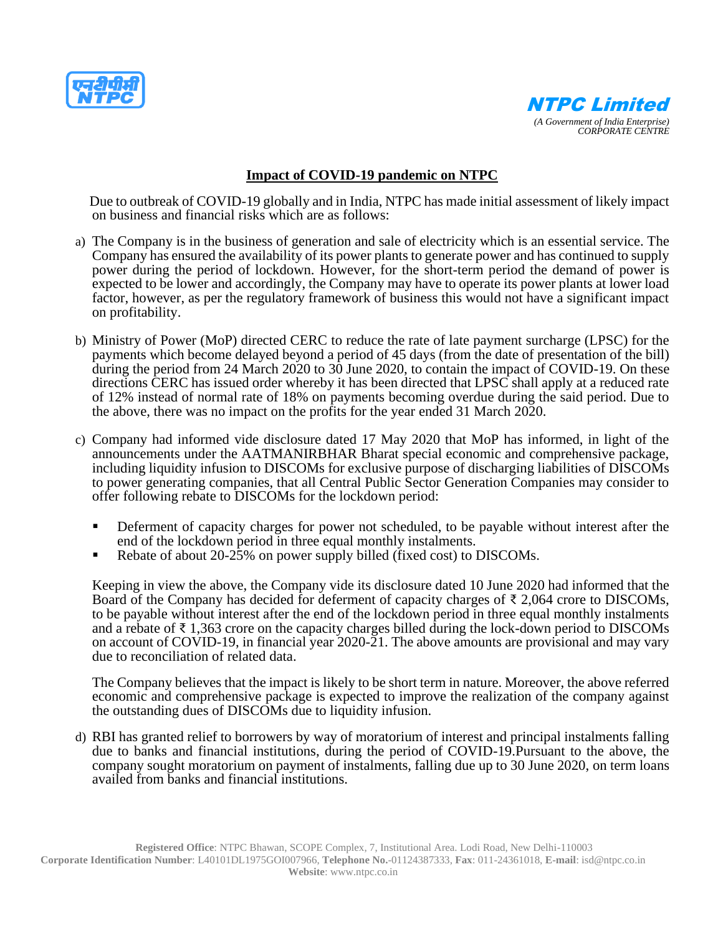



## **Impact of COVID-19 pandemic on NTPC**

 Due to outbreak of COVID-19 globally and in India, NTPC has made initial assessment of likely impact on business and financial risks which are as follows:

- a) The Company is in the business of generation and sale of electricity which is an essential service. The Company has ensured the availability of its power plants to generate power and has continued to supply power during the period of lockdown. However, for the short-term period the demand of power is expected to be lower and accordingly, the Company may have to operate its power plants at lower load factor, however, as per the regulatory framework of business this would not have a significant impact on profitability.
- b) Ministry of Power (MoP) directed CERC to reduce the rate of late payment surcharge (LPSC) for the payments which become delayed beyond a period of 45 days (from the date of presentation of the bill) during the period from 24 March 2020 to 30 June 2020, to contain the impact of COVID-19. On these directions CERC has issued order whereby it has been directed that LPSC shall apply at a reduced rate of 12% instead of normal rate of 18% on payments becoming overdue during the said period. Due to the above, there was no impact on the profits for the year ended 31 March 2020.
- c) Company had informed vide disclosure dated 17 May 2020 that MoP has informed, in light of the announcements under the AATMANIRBHAR Bharat special economic and comprehensive package, including liquidity infusion to DISCOMs for exclusive purpose of discharging liabilities of DISCOMs to power generating companies, that all Central Public Sector Generation Companies may consider to offer following rebate to DISCOMs for the lockdown period:
	- Deferment of capacity charges for power not scheduled, to be payable without interest after the end of the lockdown period in three equal monthly instalments.
	- Rebate of about 20-25% on power supply billed (fixed cost) to DISCOMs.

Keeping in view the above, the Company vide its disclosure dated 10 June 2020 had informed that the Board of the Company has decided for deferment of capacity charges of  $\bar{\tau}$  2,064 crore to DISCOMs, to be payable without interest after the end of the lockdown period in three equal monthly instalments and a rebate of ₹ 1,363 crore on the capacity charges billed during the lock-down period to DISCOMs on account of COVID-19, in financial year 2020-21. The above amounts are provisional and may vary due to reconciliation of related data.

The Company believes that the impact is likely to be short term in nature. Moreover, the above referred economic and comprehensive package is expected to improve the realization of the company against the outstanding dues of DISCOMs due to liquidity infusion.

d) RBI has granted relief to borrowers by way of moratorium of interest and principal instalments falling due to banks and financial institutions, during the period of COVID-19.Pursuant to the above, the company sought moratorium on payment of instalments, falling due up to 30 June 2020, on term loans availed from banks and financial institutions.